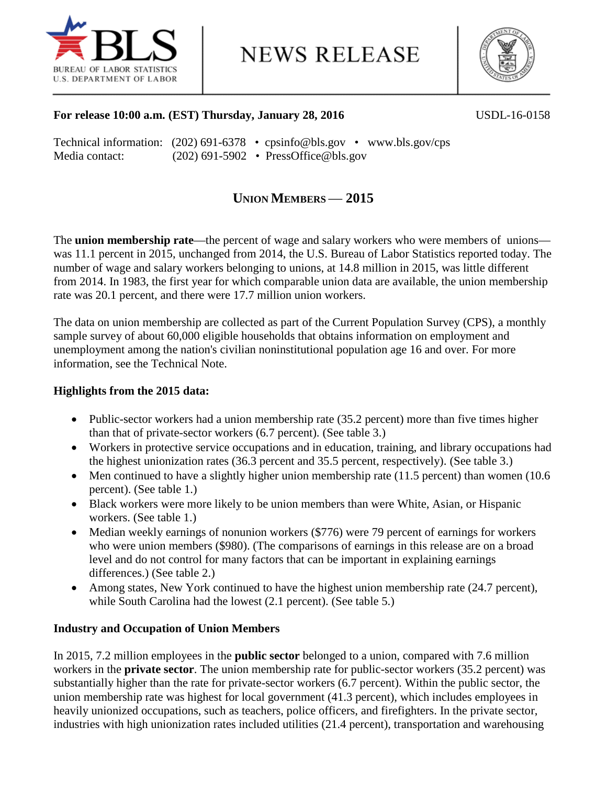

**NEWS RELEASE** 



# **For release 10:00 a.m. (EST) Thursday, January 28, 2016** USDL-16-0158

|                |  | Technical information: $(202)$ 691-6378 • cpsinfo@bls.gov • www.bls.gov/cps |
|----------------|--|-----------------------------------------------------------------------------|
| Media contact: |  | $(202)$ 691-5902 • PressOffice@bls.gov                                      |

# **UNION MEMBERS** — **2015**

The **union membership rate**—the percent of wage and salary workers who were members of unions was 11.1 percent in 2015, unchanged from 2014, the U.S. Bureau of Labor Statistics reported today. The number of wage and salary workers belonging to unions, at 14.8 million in 2015, was little different from 2014. In 1983, the first year for which comparable union data are available, the union membership rate was 20.1 percent, and there were 17.7 million union workers.

The data on union membership are collected as part of the Current Population Survey (CPS), a monthly sample survey of about 60,000 eligible households that obtains information on employment and unemployment among the nation's civilian noninstitutional population age 16 and over. For more information, see the Technical Note.

# **Highlights from the 2015 data:**

- Public-sector workers had a union membership rate (35.2 percent) more than five times higher than that of private-sector workers (6.7 percent). (See table 3.)
- Workers in protective service occupations and in education, training, and library occupations had the highest unionization rates  $(36.3 \text{ percent}$  and  $35.5 \text{ percent}$ , respectively). (See table 3.)
- Men continued to have a slightly higher union membership rate (11.5 percent) than women (10.6 percent). (See table 1.)
- Black workers were more likely to be union members than were White, Asian, or Hispanic workers. (See table 1.)
- Median weekly earnings of nonunion workers (\$776) were 79 percent of earnings for workers who were union members (\$980). (The comparisons of earnings in this release are on a broad level and do not control for many factors that can be important in explaining earnings differences.) (See table 2.)
- Among states, New York continued to have the highest union membership rate (24.7 percent), while South Carolina had the lowest (2.1 percent). (See table 5.)

## **Industry and Occupation of Union Members**

In 2015, 7.2 million employees in the **public sector** belonged to a union, compared with 7.6 million workers in the **private sector**. The union membership rate for public-sector workers (35.2 percent) was substantially higher than the rate for private-sector workers (6.7 percent). Within the public sector, the union membership rate was highest for local government (41.3 percent), which includes employees in heavily unionized occupations, such as teachers, police officers, and firefighters. In the private sector, industries with high unionization rates included utilities (21.4 percent), transportation and warehousing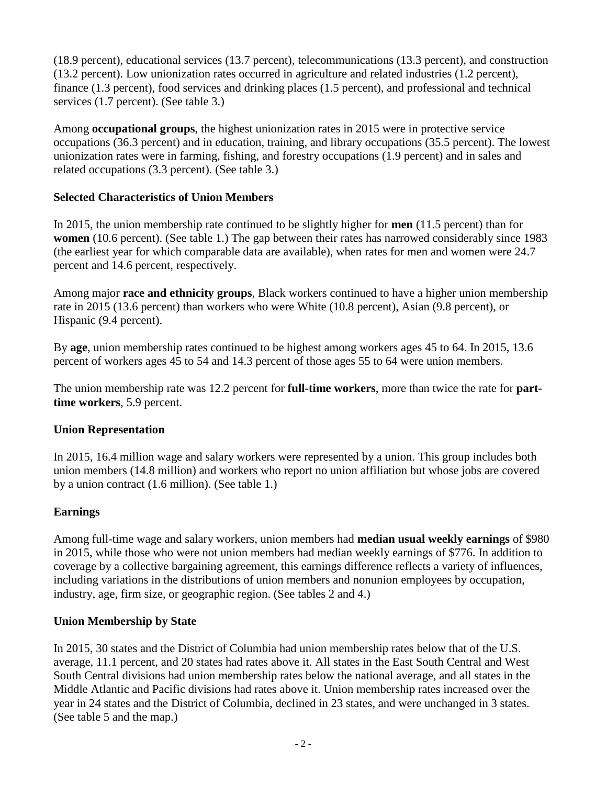(18.9 percent), educational services (13.7 percent), telecommunications (13.3 percent), and construction (13.2 percent). Low unionization rates occurred in agriculture and related industries (1.2 percent), finance (1.3 percent), food services and drinking places (1.5 percent), and professional and technical services (1.7 percent). (See table 3.)

Among **occupational groups**, the highest unionization rates in 2015 were in protective service occupations (36.3 percent) and in education, training, and library occupations (35.5 percent). The lowest unionization rates were in farming, fishing, and forestry occupations (1.9 percent) and in sales and related occupations (3.3 percent). (See table 3.)

# **Selected Characteristics of Union Members**

In 2015, the union membership rate continued to be slightly higher for **men** (11.5 percent) than for **women** (10.6 percent). (See table 1.) The gap between their rates has narrowed considerably since 1983 (the earliest year for which comparable data are available), when rates for men and women were 24.7 percent and 14.6 percent, respectively.

Among major **race and ethnicity groups**, Black workers continued to have a higher union membership rate in 2015 (13.6 percent) than workers who were White (10.8 percent), Asian (9.8 percent), or Hispanic (9.4 percent).

By **age**, union membership rates continued to be highest among workers ages 45 to 64. In 2015, 13.6 percent of workers ages 45 to 54 and 14.3 percent of those ages 55 to 64 were union members.

The union membership rate was 12.2 percent for **full-time workers**, more than twice the rate for **parttime workers**, 5.9 percent.

# **Union Representation**

In 2015, 16.4 million wage and salary workers were represented by a union. This group includes both union members (14.8 million) and workers who report no union affiliation but whose jobs are covered by a union contract (1.6 million). (See table 1.)

# **Earnings**

Among full-time wage and salary workers, union members had **median usual weekly earnings** of \$980 in 2015, while those who were not union members had median weekly earnings of \$776. In addition to coverage by a collective bargaining agreement, this earnings difference reflects a variety of influences, including variations in the distributions of union members and nonunion employees by occupation, industry, age, firm size, or geographic region. (See tables 2 and 4.)

# **Union Membership by State**

In 2015, 30 states and the District of Columbia had union membership rates below that of the U.S. average, 11.1 percent, and 20 states had rates above it. All states in the East South Central and West South Central divisions had union membership rates below the national average, and all states in the Middle Atlantic and Pacific divisions had rates above it. Union membership rates increased over the year in 24 states and the District of Columbia, declined in 23 states, and were unchanged in 3 states. (See table 5 and the map.)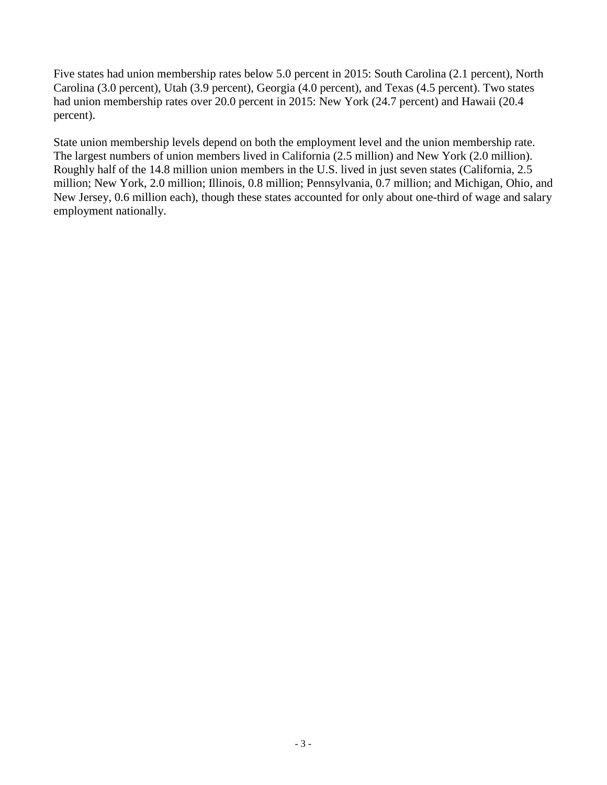Five states had union membership rates below 5.0 percent in 2015: South Carolina (2.1 percent), North Carolina (3.0 percent), Utah (3.9 percent), Georgia (4.0 percent), and Texas (4.5 percent). Two states had union membership rates over 20.0 percent in 2015: New York (24.7 percent) and Hawaii (20.4 percent).

State union membership levels depend on both the employment level and the union membership rate. The largest numbers of union members lived in California (2.5 million) and New York (2.0 million). Roughly half of the 14.8 million union members in the U.S. lived in just seven states (California, 2.5 million; New York, 2.0 million; Illinois, 0.8 million; Pennsylvania, 0.7 million; and Michigan, Ohio, and New Jersey, 0.6 million each), though these states accounted for only about one-third of wage and salary employment nationally.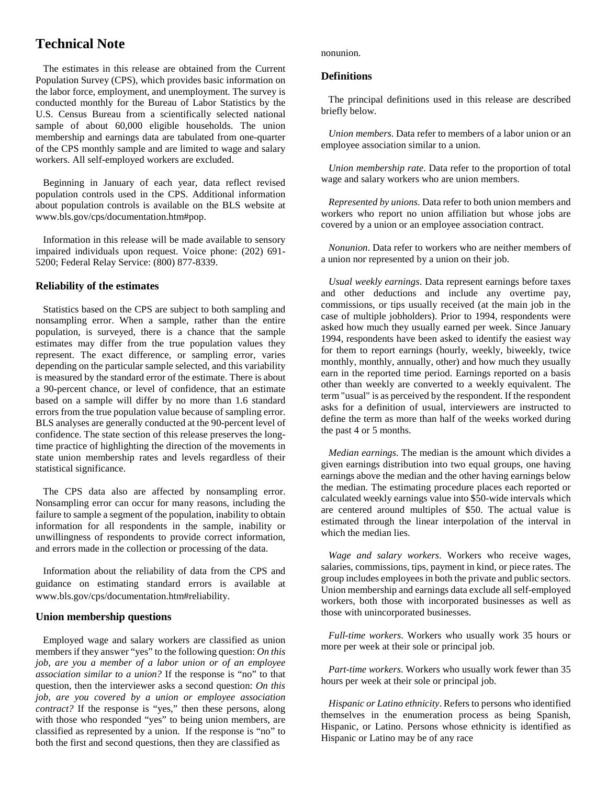# **Technical Note**

 The estimates in this release are obtained from the Current Population Survey (CPS), which provides basic information on the labor force, employment, and unemployment. The survey is conducted monthly for the Bureau of Labor Statistics by the U.S. Census Bureau from a scientifically selected national sample of about 60,000 eligible households. The union membership and earnings data are tabulated from one-quarter of the CPS monthly sample and are limited to wage and salary workers. All self-employed workers are excluded.

 Beginning in January of each year, data reflect revised population controls used in the CPS. Additional information about population controls is available on the BLS website at www.bls.gov/cps/documentation.htm#pop.

 Information in this release will be made available to sensory impaired individuals upon request. Voice phone: (202) 691- 5200; Federal Relay Service: (800) 877-8339.

#### **Reliability of the estimates**

 Statistics based on the CPS are subject to both sampling and nonsampling error. When a sample, rather than the entire population, is surveyed, there is a chance that the sample estimates may differ from the true population values they represent. The exact difference, or sampling error, varies depending on the particular sample selected, and this variability is measured by the standard error of the estimate. There is about a 90-percent chance, or level of confidence, that an estimate based on a sample will differ by no more than 1.6 standard errors from the true population value because of sampling error. BLS analyses are generally conducted at the 90-percent level of confidence. The state section of this release preserves the longtime practice of highlighting the direction of the movements in state union membership rates and levels regardless of their statistical significance.

 The CPS data also are affected by nonsampling error. Nonsampling error can occur for many reasons, including the failure to sample a segment of the population, inability to obtain information for all respondents in the sample, inability or unwillingness of respondents to provide correct information, and errors made in the collection or processing of the data.

 Information about the reliability of data from the CPS and guidance on estimating standard errors is available at www.bls.gov/cps/documentation.htm#reliability.

#### **Union membership questions**

 Employed wage and salary workers are classified as union members if they answer "yes" to the following question: *On this job, are you a member of a labor union or of an employee association similar to a union?* If the response is "no" to that question, then the interviewer asks a second question: *On this job, are you covered by a union or employee association contract?* If the response is "yes," then these persons, along with those who responded "yes" to being union members, are classified as represented by a union. If the response is "no" to both the first and second questions, then they are classified as

nonunion.

#### **Definitions**

 The principal definitions used in this release are described briefly below.

 *Union members*. Data refer to members of a labor union or an employee association similar to a union.

 *Union membership rate*. Data refer to the proportion of total wage and salary workers who are union members.

 *Represented by unions*. Data refer to both union members and workers who report no union affiliation but whose jobs are covered by a union or an employee association contract.

 *Nonunion*. Data refer to workers who are neither members of a union nor represented by a union on their job.

 *Usual weekly earnings*. Data represent earnings before taxes and other deductions and include any overtime pay, commissions, or tips usually received (at the main job in the case of multiple jobholders). Prior to 1994, respondents were asked how much they usually earned per week. Since January 1994, respondents have been asked to identify the easiest way for them to report earnings (hourly, weekly, biweekly, twice monthly, monthly, annually, other) and how much they usually earn in the reported time period. Earnings reported on a basis other than weekly are converted to a weekly equivalent. The term "usual" is as perceived by the respondent. If the respondent asks for a definition of usual, interviewers are instructed to define the term as more than half of the weeks worked during the past 4 or 5 months.

 *Median earnings*. The median is the amount which divides a given earnings distribution into two equal groups, one having earnings above the median and the other having earnings below the median. The estimating procedure places each reported or calculated weekly earnings value into \$50-wide intervals which are centered around multiples of \$50. The actual value is estimated through the linear interpolation of the interval in which the median lies.

 *Wage and salary workers*. Workers who receive wages, salaries, commissions, tips, payment in kind, or piece rates. The group includes employees in both the private and public sectors. Union membership and earnings data exclude all self-employed workers, both those with incorporated businesses as well as those with unincorporated businesses.

 *Full-time workers*. Workers who usually work 35 hours or more per week at their sole or principal job.

 *Part-time workers*. Workers who usually work fewer than 35 hours per week at their sole or principal job.

 *Hispanic or Latino ethnicity*. Refers to persons who identified themselves in the enumeration process as being Spanish, Hispanic, or Latino. Persons whose ethnicity is identified as Hispanic or Latino may be of any race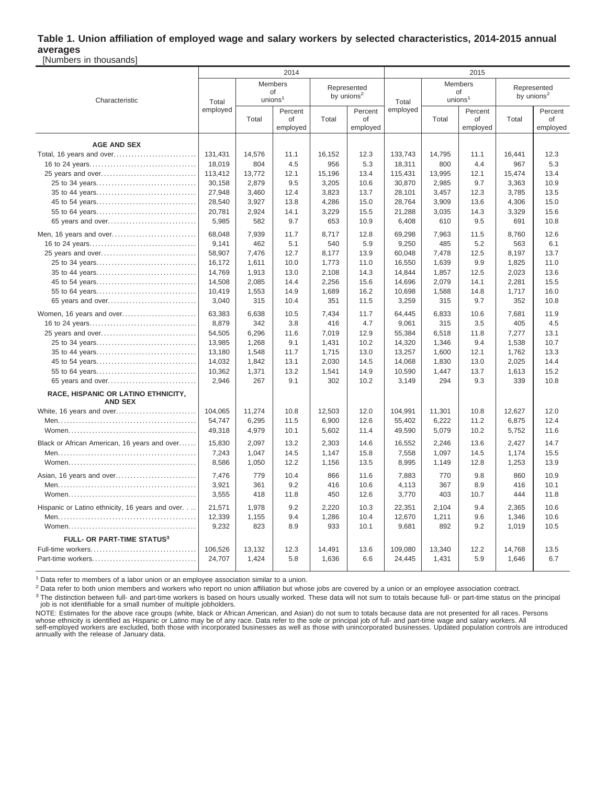### **Table 1. Union affiliation of employed wage and salary workers by selected characteristics, 2014-2015 annual averages**

[Numbers in thousands]

|                                                       |          |                                     | 2014                      |                                       |                           |          | 2015                                 |                           |                                       |                           |
|-------------------------------------------------------|----------|-------------------------------------|---------------------------|---------------------------------------|---------------------------|----------|--------------------------------------|---------------------------|---------------------------------------|---------------------------|
| Characteristic                                        | Total    | Members<br>of<br>union <sup>1</sup> |                           | Represented<br>by unions <sup>2</sup> |                           | Total    | Members<br>οf<br>unions <sup>1</sup> |                           | Represented<br>by unions <sup>2</sup> |                           |
|                                                       | employed | Total                               | Percent<br>of<br>employed | Total                                 | Percent<br>of<br>employed | employed | Total                                | Percent<br>of<br>employed | Total                                 | Percent<br>of<br>employed |
| <b>AGE AND SEX</b>                                    |          |                                     |                           |                                       |                           |          |                                      |                           |                                       |                           |
| Total, 16 years and over                              | 131,431  | 14,576                              | 11.1                      | 16,152                                | 12.3                      | 133,743  | 14,795                               | 11.1                      | 16,441                                | 12.3                      |
|                                                       | 18,019   | 804                                 | 4.5                       | 956                                   | 5.3                       | 18,311   | 800                                  | 4.4                       | 967                                   | 5.3                       |
| 25 years and over                                     | 113,412  | 13,772                              | 12.1                      | 15,196                                | 13.4                      | 115,431  | 13,995                               | 12.1                      | 15,474                                | 13.4                      |
| 25 to 34 years                                        | 30,158   | 2,879                               | 9.5                       | 3,205                                 | 10.6                      | 30,870   | 2,985                                | 9.7                       | 3,363                                 | 10.9                      |
| 35 to 44 years                                        | 27,948   | 3,460                               | 12.4                      | 3,823                                 | 13.7                      | 28,101   | 3,457                                | 12.3                      | 3,785                                 | 13.5                      |
| 45 to 54 years                                        | 28,540   | 3,927                               | 13.8                      | 4,286                                 | 15.0                      | 28,764   | 3,909                                | 13.6                      | 4,306                                 | 15.0                      |
|                                                       | 20,781   | 2,924                               | 14.1                      | 3,229                                 | 15.5                      | 21,288   | 3,035                                | 14.3                      | 3,329                                 | 15.6                      |
| 65 years and over                                     | 5,985    | 582                                 | 9.7                       | 653                                   | 10.9                      | 6,408    | 610                                  | 9.5                       | 691                                   | 10.8                      |
|                                                       |          |                                     |                           |                                       |                           |          |                                      |                           |                                       |                           |
| Men, 16 years and over                                | 68,048   | 7,939                               | 11.7                      | 8,717                                 | 12.8                      | 69,298   | 7,963                                | 11.5                      | 8,760                                 | 12.6                      |
|                                                       | 9,141    | 462                                 | 5.1                       | 540                                   | 5.9                       | 9,250    | 485                                  | 5.2                       | 563                                   | 6.1                       |
|                                                       | 58,907   | 7,476                               | 12.7                      | 8,177                                 | 13.9                      | 60,048   | 7,478                                | 12.5                      | 8,197                                 | 13.7                      |
| 25 to 34 years                                        | 16,172   | 1,611                               | 10.0                      | 1,773                                 | 11.0                      | 16,550   | 1,639                                | 9.9                       | 1,825                                 | 11.0                      |
| 35 to 44 years                                        | 14,769   | 1,913                               | 13.0                      | 2,108                                 | 14.3                      | 14,844   | 1,857                                | 12.5                      | 2,023                                 | 13.6                      |
| 45 to 54 years                                        | 14,508   | 2,085                               | 14.4                      | 2,256                                 | 15.6                      | 14,696   | 2,079                                | 14.1                      | 2,281                                 | 15.5                      |
| 55 to 64 years                                        | 10,419   | 1,553                               | 14.9                      | 1,689                                 | 16.2                      | 10,698   | 1,588                                | 14.8                      | 1,717                                 | 16.0                      |
| 65 years and over                                     | 3,040    | 315                                 | 10.4                      | 351                                   | 11.5                      | 3,259    | 315                                  | 9.7                       | 352                                   | 10.8                      |
| Women, 16 years and over                              | 63,383   | 6,638                               | 10.5                      | 7,434                                 | 11.7                      | 64,445   | 6,833                                | 10.6                      | 7,681                                 | 11.9                      |
|                                                       | 8,879    | 342                                 | 3.8                       | 416                                   | 4.7                       | 9,061    | 315                                  | 3.5                       | 405                                   | 4.5                       |
|                                                       | 54,505   | 6,296                               | 11.6                      | 7,019                                 | 12.9                      | 55,384   | 6.518                                | 11.8                      | 7,277                                 | 13.1                      |
| 25 to 34 years                                        | 13,985   | 1,268                               | 9.1                       | 1,431                                 | 10.2                      | 14,320   | 1.346                                | 9.4                       | 1,538                                 | 10.7                      |
|                                                       | 13,180   | 1,548                               | 11.7                      | 1,715                                 | 13.0                      | 13,257   | 1,600                                | 12.1                      | 1,762                                 | 13.3                      |
| 45 to 54 years                                        | 14,032   | 1,842                               | 13.1                      | 2,030                                 | 14.5                      | 14,068   | 1,830                                | 13.0                      | 2,025                                 | 14.4                      |
| 55 to 64 years                                        | 10,362   | 1,371                               | 13.2                      | 1,541                                 | 14.9                      | 10,590   | 1,447                                | 13.7                      | 1,613                                 | 15.2                      |
| 65 years and over                                     | 2,946    | 267                                 | 9.1                       | 302                                   | 10.2                      | 3,149    | 294                                  | 9.3                       | 339                                   | 10.8                      |
| RACE, HISPANIC OR LATINO ETHNICITY,<br><b>AND SEX</b> |          |                                     |                           |                                       |                           |          |                                      |                           |                                       |                           |
| White, 16 years and over                              | 104,065  | 11,274                              | 10.8                      | 12,503                                | 12.0                      | 104,991  | 11,301                               | 10.8                      | 12,627                                | 12.0                      |
|                                                       | 54,747   | 6,295                               | 11.5                      | 6,900                                 | 12.6                      | 55,402   | 6,222                                | 11.2                      | 6,875                                 | 12.4                      |
|                                                       | 49,318   | 4,979                               | 10.1                      | 5,602                                 | 11.4                      | 49,590   | 5,079                                | 10.2                      | 5,752                                 | 11.6                      |
| Black or African American, 16 years and over          | 15,830   | 2,097                               | 13.2                      | 2,303                                 | 14.6                      | 16,552   | 2,246                                | 13.6                      | 2,427                                 | 14.7                      |
|                                                       | 7,243    | 1,047                               | 14.5                      | 1,147                                 | 15.8                      | 7,558    | 1,097                                | 14.5                      | 1,174                                 | 15.5                      |
|                                                       | 8,586    | 1,050                               | 12.2                      | 1,156                                 | 13.5                      | 8,995    | 1,149                                | 12.8                      | 1,253                                 | 13.9                      |
|                                                       |          |                                     |                           |                                       |                           |          |                                      |                           |                                       |                           |
| Asian, 16 years and over                              | 7.476    | 779                                 | 10.4                      | 866                                   | 11.6                      | 7.883    | 770                                  | 9.8                       | 860                                   | 10.9                      |
|                                                       | 3,921    | 361                                 | 9.2                       | 416                                   | 10.6                      | 4,113    | 367                                  | 8.9                       | 416                                   | 10.1                      |
|                                                       | 3,555    | 418                                 | 11.8                      | 450                                   | 12.6                      | 3,770    | 403                                  | 10.7                      | 444                                   | 11.8                      |
| Hispanic or Latino ethnicity, 16 years and over.      | 21,571   | 1,978                               | 9.2                       | 2,220                                 | 10.3                      | 22,351   | 2,104                                | 9.4                       | 2,365                                 | 10.6                      |
|                                                       | 12,339   | 1,155                               | 9.4                       | 1,286                                 | 10.4                      | 12,670   | 1,211                                | 9.6                       | 1,346                                 | 10.6                      |
|                                                       | 9,232    | 823                                 | 8.9                       | 933                                   | 10.1                      | 9,681    | 892                                  | 9.2                       | 1,019                                 | 10.5                      |
| <b>FULL- OR PART-TIME STATUS3</b>                     |          |                                     |                           |                                       |                           |          |                                      |                           |                                       |                           |
|                                                       | 106.526  | 13,132                              | 12.3                      | 14,491                                | 13.6                      | 109.080  | 13,340                               | 12.2                      | 14,768                                | 13.5                      |
|                                                       | 24,707   | 1,424                               | 5.8                       | 1,636                                 | 6.6                       | 24,445   | 1,431                                | 5.9                       | 1,646                                 | 6.7                       |
|                                                       |          |                                     |                           |                                       |                           |          |                                      |                           |                                       |                           |

 $1$  Data refer to members of a labor union or an employee association similar to a union.

<sup>2</sup> Data refer to both union members and workers who report no union affiliation but whose jobs are covered by a union or an employee association contract.

<sup>3</sup> The distinction between full- and part-time workers is based on hours usually worked. These data will not sum to totals because full- or part-time status on the principal job is not identifiable for a small number of multiple jobholders.

NOTE: Estimates for the above race groups (white, black or African American, and Asian) do not sum to totals because data are not presented for all races. Persons<br>whose ethnicity is identified as Hispanic or Latino may be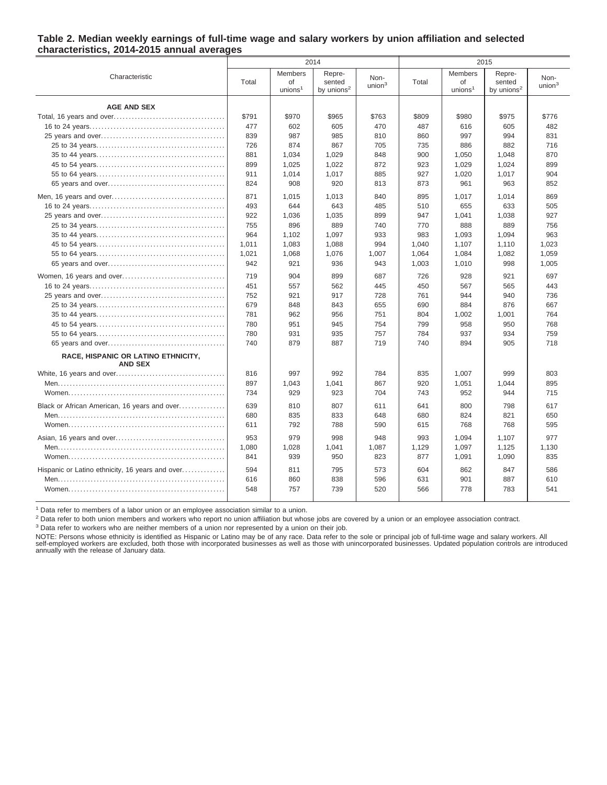#### **Table 2. Median weekly earnings of full-time wage and salary workers by union affiliation and selected characteristics, 2014-2015 annual averages**

|                                                 |            |                                             | 2014                                       |                            |            |                                             | 2015                              |                            |
|-------------------------------------------------|------------|---------------------------------------------|--------------------------------------------|----------------------------|------------|---------------------------------------------|-----------------------------------|----------------------------|
| Characteristic                                  | Total      | <b>Members</b><br>of<br>unions <sup>1</sup> | Repre-<br>sented<br>by unions <sup>2</sup> | Non-<br>union <sup>3</sup> | Total      | <b>Members</b><br>of<br>unions <sup>1</sup> | Repre-<br>sented<br>by unions $2$ | Non-<br>union <sup>3</sup> |
| <b>AGE AND SEX</b>                              |            |                                             |                                            |                            |            |                                             |                                   |                            |
|                                                 | \$791      | \$970                                       | \$965                                      | \$763                      | \$809      | \$980                                       | \$975                             | \$776                      |
|                                                 | 477        | 602                                         | 605                                        | 470                        | 487        | 616                                         | 605                               | 482                        |
|                                                 | 839        | 987                                         | 985                                        | 810                        | 860        | 997                                         | 994                               | 831                        |
|                                                 | 726        | 874                                         | 867                                        | 705                        | 735        | 886                                         | 882                               | 716                        |
|                                                 | 881        | 1,034                                       | 1,029                                      | 848                        | 900        | 1,050                                       | 1,048                             | 870                        |
|                                                 | 899        | 1,025                                       | 1,022                                      | 872                        | 923        | 1,029                                       | 1,024                             | 899                        |
|                                                 | 911        | 1,014                                       | 1,017                                      | 885                        | 927        | 1,020                                       | 1,017                             | 904                        |
|                                                 | 824        | 908                                         | 920                                        | 813                        | 873        | 961                                         | 963                               | 852                        |
|                                                 | 871        | 1.015                                       | 1.013                                      | 840                        | 895        | 1.017                                       | 1.014                             | 869                        |
|                                                 | 493        | 644                                         | 643                                        | 485                        | 510        | 655                                         | 633                               | 505                        |
|                                                 | 922        | 1,036                                       | 1,035                                      | 899                        | 947        | 1,041                                       | 1,038                             | 927                        |
|                                                 | 755        | 896                                         | 889                                        | 740                        | 770        | 888                                         | 889                               | 756                        |
|                                                 | 964        | 1,102                                       | 1,097                                      | 933                        | 983        | 1,093                                       | 1,094                             | 963                        |
|                                                 | 1.011      | 1.083                                       | 1.088                                      | 994                        | 1.040      | 1,107                                       | 1,110                             | 1.023                      |
|                                                 | 1,021      | 1,068                                       | 1,076                                      | 1,007                      | 1,064      | 1,084                                       | 1,082                             | 1,059                      |
|                                                 | 942        | 921                                         | 936                                        | 943                        | 1,003      | 1,010                                       | 998                               | 1,005                      |
|                                                 | 719        | 904                                         | 899                                        | 687                        | 726        | 928                                         | 921                               | 697                        |
|                                                 | 451        | 557                                         | 562                                        | 445                        | 450        | 567                                         | 565                               | 443                        |
|                                                 | 752        | 921                                         | 917                                        | 728                        | 761        | 944                                         | 940                               | 736                        |
|                                                 | 679        | 848                                         | 843                                        | 655                        | 690        | 884                                         | 876                               | 667                        |
|                                                 | 781        | 962                                         | 956                                        | 751                        | 804        | 1.002                                       | 1.001                             | 764                        |
|                                                 | 780        | 951                                         | 945                                        | 754                        | 799        | 958                                         | 950                               | 768                        |
| RACE, HISPANIC OR LATINO ETHNICITY,             | 780<br>740 | 931<br>879                                  | 935<br>887                                 | 757<br>719                 | 784<br>740 | 937<br>894                                  | 934<br>905                        | 759<br>718                 |
| <b>AND SEX</b>                                  |            |                                             |                                            |                            |            |                                             |                                   |                            |
|                                                 | 816        | 997                                         | 992                                        | 784                        | 835        | 1.007                                       | 999                               | 803                        |
|                                                 | 897        | 1,043                                       | 1,041                                      | 867                        | 920        | 1,051                                       | 1,044                             | 895                        |
|                                                 | 734        | 929                                         | 923                                        | 704                        | 743        | 952                                         | 944                               | 715                        |
| Black or African American, 16 years and over    | 639        | 810                                         | 807                                        | 611                        | 641        | 800                                         | 798                               | 617                        |
|                                                 | 680        | 835                                         | 833                                        | 648                        | 680        | 824                                         | 821                               | 650                        |
|                                                 | 611        | 792                                         | 788                                        | 590                        | 615        | 768                                         | 768                               | 595                        |
|                                                 | 953        | 979                                         | 998                                        | 948                        | 993        | 1,094                                       | 1.107                             | 977                        |
|                                                 | 1,080      | 1,028                                       | 1,041                                      | 1,087                      | 1,129      | 1,097                                       | 1,125                             | 1,130                      |
|                                                 | 841        | 939                                         | 950                                        | 823                        | 877        | 1,091                                       | 1,090                             | 835                        |
| Hispanic or Latino ethnicity, 16 years and over | 594        | 811                                         | 795                                        | 573                        | 604        | 862                                         | 847                               | 586                        |
|                                                 | 616        | 860                                         | 838                                        | 596                        | 631        | 901                                         | 887                               | 610                        |
|                                                 | 548        | 757                                         | 739                                        | 520                        | 566        | 778                                         | 783                               | 541                        |

<sup>1</sup> Data refer to members of a labor union or an employee association similar to a union.

<sup>2</sup> Data refer to both union members and workers who report no union affiliation but whose jobs are covered by a union or an employee association contract.

<sup>3</sup> Data refer to workers who are neither members of a union nor represented by a union on their job.

NOTE: Persons whose ethnicity is identified as Hispanic or Latino may be of any race. Data refer to the sole or principal job of full-time wage and salary workers. All self-employed workers are excluded, both those with incorporated businesses as well as those with unincorporated businesses. Updated population controls are introduced annually with the release of January data.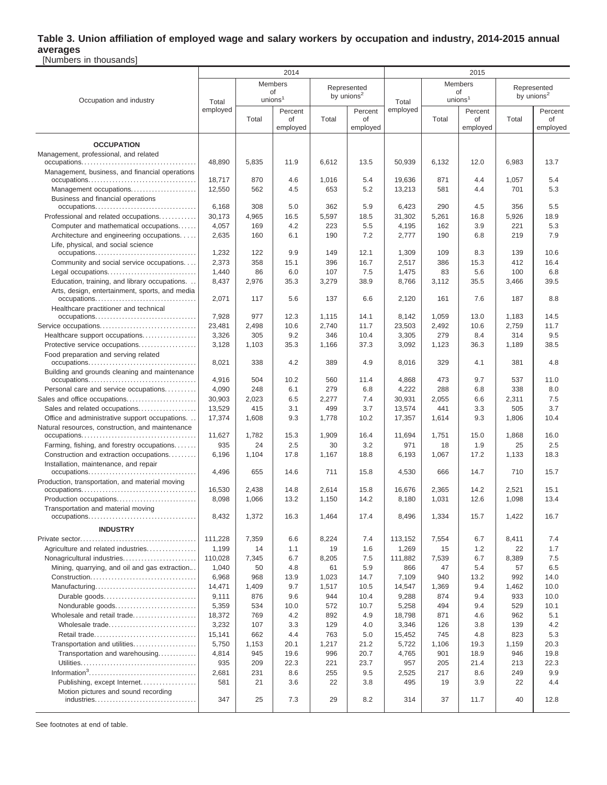#### **Table 3. Union affiliation of employed wage and salary workers by occupation and industry, 2014-2015 annual averages** [Numbers in thousands]

Occupation and industry 2014 2015 Total employed Members of unions<sup>1</sup> Represented by unions<sup>2</sup> Total employed Members of unions<sup>1</sup> Represented by unions<sup>2</sup> Total Percent of employed Total Percent of employed Total Percent of employed Total Percent of employed **OCCUPATION** Management, professional, and related occupations. . . . . . . . . . . . . . . . . . . . . . . . . . . . . . . . . . . . . . 48,890 5,835 11.9 6,612 13.5 50,939 6,132 12.0 6,983 13.7 Management, business, and financial operations occupations. . . . . . . . . . . . . . . . . . . . . . . . . . . . . . . . . . . . 18,717 870 4.6 1,016 5.4 19,636 871 4.4 1,057 5.4 Management occupations. . . . . . . . . . . . . . . . . . . . . . 12,550 562 4.5 653 5.2 13,213 581 4.4 701 5.3 Business and financial operations occupations. . . . . . . . . . . . . . . . . . . . . . . . . . . . . . . . . . 6,168 308 5.0 362 5.9 6,423 290 4.5 356 5.5 Professional and related occupations. . . . . . . . . . 30,173 4,965 1 16.5 1 5,597 1 18.5 31,302 5,261 16.8 5,926 18.9 Computer and mathematical occupations...... | 4,057 | 169 | 4.2 | 223 | 5.5 | 4,195 | 162 | 3.9 | 221 | 5.3 Architecture and engineering occupations. . . . | 2,635 | 160 | 6.1 | 190 | 7.2 | 2,777 | 190 | 6.8 | 219 | 7.9 Life, physical, and social science occupations. . . . . . . . . . . . . . . . . . . . . . . . . . . . . . . . . . 1,232 122 9.9 149 12.1 1,309 109 8.3 139 10.6 Community and social service occupations. . . . . 2,373 358 1 15.1 396 16.7 358 16.2 386 15.3 412 16.4 Legal occupations. . . . . . . . . . . . . . . . . . . . . . . . . . . . . . 1,440 86 6.0 107 7.5 1,475 83 5.6 100 6.8 Education, training, and library occupations. . . | 8,437 | 2,976 | 35.3 | 3,279 | 38.9 | 8,766 | 3,112 | 35.5 | 3,466 | 39.5 Arts, design, entertainment, sports, and media occupations. . . . . . . . . . . . . . . . . . . . . . . . . . . . . . . . . . 2,071 117 5.6 137 6.6 2,120 161 7.6 187 8.8 Healthcare practitioner and technical occupations. . . . . . . . . . . . . . . . . . . . . . . . . . . . . . . . . . 7,928 977 12.3 1,115 14.1 8,142 1,059 13.0 1,183 14.5 Service occupations. . . . . . . . . . . . . . . . . . . . . . . . . . . . . . . . 23,481 2,498 10.6 2,740 11.7 23,503 2,492 10.6 2,759 11.7 Healthcare support occupations. . . . . . . . . . . . . . . . . . 3,326 305 9.2 346 10.4 3,305 3.305 279 8.4 314 9.5 Protective service occupations. . . . . . . . . . . . . . . . . . . 3,128 1,103 35.3 1,166 37.3 3,092 1,123 36.3 1,189 38.5 Food preparation and serving related occupations. . . . . . . . . . . . . . . . . . . . . . . . . . . . . . . . . . . . 8,021 338 4.2 389 4.9 8,016 329 4.1 381 4.8 Building and grounds cleaning and maintenance occupations. . . . . . . . . . . . . . . . . . . . . . . . . . . . . . . . . . . . 4,916 504 10.2 560 11.4 4,868 473 9.7 537 11.0 Personal care and service occupations. . . . . . . . . . 4,090 248 6.1 279 6.8 4,222 288 6.8 338 8.0 Sales and office occupations. . . . . . . . . . . . . . . . . . . . . . . 30,903 2,023 6.5 2,277 7.4 30,931 2,055 6.6 2,311 7.5 Sales and related occupations. . . . . . . . . . . . . . . . . | 13,529 | 415 | 3.1 | 499 | 3.7 | 13,574 | 441 | 3.3 | 505 | 3.7 Office and administrative support occupations. . . | 17,374 | 1,608 | 9.3 | 1,778 | 10.2 | 17,357 | 1,614 | 9.3 | 1,806 | 10.4 Natural resources, construction, and maintenance occupations. . . . . . . . . . . . . . . . . . . . . . . . . . . . . . . . . . . . . . 11,627 1,782 15.3 1,909 16.4 11,694 1,751 15.0 1,868 16.0 Farming, fishing, and forestry occupations. . . . . . 935 | 24 | 2.5 | 30 | 3.2 | 971 | 18 | 1.9 | 25 | 2.5 Construction and extraction occupations. . . . . . . 6,196 | 1,104 | 17.8 | 1,167 | 18.8 | 6,193 | 1,067 | 17.2 | 1,133 | 18.3 Installation, maintenance, and repair occupations. . . . . . . . . . . . . . . . . . . . . . . . . . . . . . . . . . . . 4,496 655 14.6 711 15.8 4,530 666 14.7 710 15.7 Production, transportation, and material moving occupations. . . . . . . . . . . . . . . . . . . . . . . . . . . . . . . . . . . . . . 16,530 2,438 14.8 2,614 15.8 16,676 2,365 14.2 2,521 15.1 Production occupations. . . . . . . . . . . . . . . . . . . . . . . . . . . 8,098 1,066 13.2 1,150 14.2 8,180 1,031 12.6 1,098 13.4 Transportation and material moving occupations. . . . . . . . . . . . . . . . . . . . . . . . . . . . . . . . . . . . 8,432 1,372 16.3 1,464 17.4 8,496 1,334 15.7 1,422 16.7 **INDUSTRY** Private sector. . . . . . . . . . . . . . . . . . . . . . . . . . . . . . . . . . . . . . . 111,228 7,359 6.6 8,224 7.4 113,152 7,554 6.7 8,411 7.4 Agriculture and related industries. . . . . . . . . . . . . . . . 1.199 1 14 1 1.1 1 19 1 1.6 1 1.2 69 1 1.2 1.2 1 22 1 1.7 Nonagricultural industries. . . . . . . . . . . . . . . . . . . . . . . . 110,028 7,345 6.7 8,205 7.5 111,882 7,539 6.7 8,389 7.5 Mining, quarrying, and oil and gas extraction... | 1,040 | 50 | 4.8 | 61 | 5.9 | 866 | 47 | 5.4 | 57 | 6.5 Construction. . . . . . . . . . . . . . . . . . . . . . . . . . . . . . . . . . . 6,968 968 13.9 1,023 14.7 7,109 940 13.2 992 14.0 Manufacturing. . . . . . . . . . . . . . . . . . . . . . . . . . . . . . . . . . 14,471 1,409 9.7 1,517 10.5 14,547 1,369 9.4 1,462 10.0 Durable goods. . . . . . . . . . . . . . . . . . . . . . . . . . . . . . . 9,111 876 9.6 944 10.4 9,288 874 9.4 933 10.0 Nondurable goods. . . . . . . . . . . . . . . . . . . . . . . . . . . 5,359 534 10.0 572 10.7 5,258 494 9.4 529 10.1 Wholesale and retail trade..........................| 18,372 | 769 | 4.2 | 892 | 4.9 | 18,798 | 871 | 4.6 | 962 | 5.1 Wholesale trade. . . . . . . . . . . . . . . . . . . . . . . . . . . . . 3,232 107 3.3 129 4.0 3,346 126 3.8 139 4.2 Retail trade. . . . . . . . . . . . . . . . . . . . . . . . . . . . . . . . . . 15,141 662 4.4 763 5.0 15,452 745 4.8 823 5.3 Transportation and utilities. . . . . . . . . . . . . . . . . . . . . 5,750 1,153 20.1 1,217 21.2 5,722 1,106 19.3 1,159 20.3 Transportation and warehousing…………..| 4,814 | 945 | 19.6 | 996 | 20.7 | 4,765 | 901 | 18.9 | 946 | 19.8 Utilities. . . . . . . . . . . . . . . . . . . . . . . . . . . . . . . . . . . . . . . 935 209 22.3 221 23.7 957 205 21.4 213 22.3 Information<sup>3</sup> . . . . . . . . . . . . . . . . . . . . . . . . . . . . . . . . . . . . 2,681 231 8.6 255 9.5 2,525 217 8.6 249 9.9 Publishing, except Internet. . . . . . . . . . . . . . . . . . 581 21 3.6 22 3.8 495 19 3.9 22 4.4 Motion pictures and sound recording industries. . . . . . . . . . . . . . . . . . . . . . . . . . . . . . . . . . 347 25 7.3 29 8.2 314 37 11.7 40 12.8

See footnotes at end of table.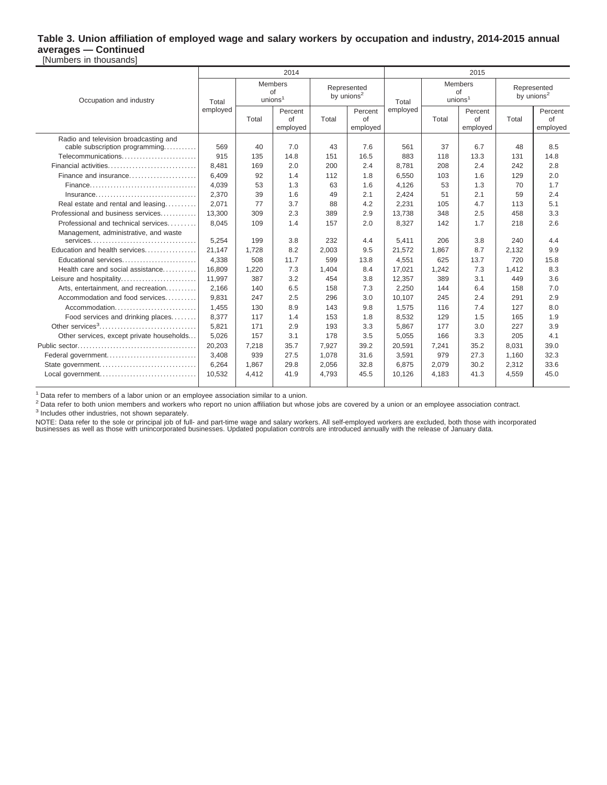#### **Table 3. Union affiliation of employed wage and salary workers by occupation and industry, 2014-2015 annual averages — Continued** [Numbers in thousands]

|                                                      |                                                      |       | 2014                      |                                       |                           | 2015     |                                            |                           |                                                                                                                                                                                        |                           |  |
|------------------------------------------------------|------------------------------------------------------|-------|---------------------------|---------------------------------------|---------------------------|----------|--------------------------------------------|---------------------------|----------------------------------------------------------------------------------------------------------------------------------------------------------------------------------------|---------------------------|--|
| Occupation and industry                              | <b>Members</b><br>of<br>unions <sup>1</sup><br>Total |       |                           | Represented<br>by unions <sup>2</sup> |                           | Total    | <b>Members</b><br>of<br>union <sup>1</sup> |                           | Represented<br>by unions <sup>2</sup>                                                                                                                                                  |                           |  |
|                                                      | employed                                             | Total | Percent<br>of<br>employed | Total                                 | Percent<br>of<br>employed | employed | Total                                      | Percent<br>of<br>employed | Total<br>48<br>131<br>242<br>129<br>70<br>59<br>113<br>458<br>218<br>240<br>2,132<br>720<br>1,412<br>449<br>158<br>291<br>127<br>165<br>227<br>205<br>8.031<br>1,160<br>2,312<br>4.559 | Percent<br>of<br>employed |  |
| Radio and television broadcasting and                | 569                                                  | 40    | 7.0                       | 43                                    | 7.6                       | 561      | 37                                         | 6.7                       |                                                                                                                                                                                        | 8.5                       |  |
| cable subscription programming<br>Telecommunications | 915                                                  | 135   | 14.8                      | 151                                   | 16.5                      | 883      | 118                                        | 13.3                      |                                                                                                                                                                                        | 14.8                      |  |
| Financial activities                                 |                                                      |       | 2.0                       | 200                                   | 2.4                       |          |                                            | 2.4                       |                                                                                                                                                                                        | 2.8                       |  |
|                                                      | 8,481                                                | 169   |                           |                                       |                           | 8,781    | 208                                        |                           |                                                                                                                                                                                        |                           |  |
| Finance and insurance                                | 6,409                                                | 92    | 1.4                       | 112                                   | 1.8                       | 6,550    | 103                                        | 1.6                       |                                                                                                                                                                                        | 2.0                       |  |
|                                                      | 4,039                                                | 53    | 1.3                       | 63                                    | 1.6                       | 4,126    | 53                                         | 1.3                       |                                                                                                                                                                                        | 1.7                       |  |
| Insurance                                            | 2,370                                                | 39    | 1.6                       | 49                                    | 2.1                       | 2,424    | 51                                         | 2.1                       |                                                                                                                                                                                        | 2.4                       |  |
| Real estate and rental and leasing                   | 2,071                                                | 77    | 3.7                       | 88                                    | 4.2                       | 2,231    | 105                                        | 4.7                       |                                                                                                                                                                                        | 5.1                       |  |
| Professional and business services                   | 13,300                                               | 309   | 2.3                       | 389                                   | 2.9                       | 13,738   | 348                                        | 2.5                       |                                                                                                                                                                                        | 3.3                       |  |
| Professional and technical services                  | 8.045                                                | 109   | 1.4                       | 157                                   | 2.0                       | 8,327    | 142                                        | 1.7                       |                                                                                                                                                                                        | 2.6                       |  |
| Management, administrative, and waste                |                                                      |       |                           |                                       |                           |          |                                            |                           |                                                                                                                                                                                        |                           |  |
| services                                             | 5,254                                                | 199   | 3.8                       | 232                                   | 4.4                       | 5,411    | 206                                        | 3.8                       |                                                                                                                                                                                        | 4.4                       |  |
| Education and health services                        | 21,147                                               | 1,728 | 8.2                       | 2,003                                 | 9.5                       | 21,572   | 1.867                                      | 8.7                       |                                                                                                                                                                                        | 9.9                       |  |
| Educational services                                 | 4,338                                                | 508   | 11.7                      | 599                                   | 13.8                      | 4,551    | 625                                        | 13.7                      |                                                                                                                                                                                        | 15.8                      |  |
| Health care and social assistance                    | 16,809                                               | 1,220 | 7.3                       | 1,404                                 | 8.4                       | 17,021   | 1,242                                      | 7.3                       |                                                                                                                                                                                        | 8.3                       |  |
| Leisure and hospitality                              | 11,997                                               | 387   | 3.2                       | 454                                   | 3.8                       | 12,357   | 389                                        | 3.1                       |                                                                                                                                                                                        | 3.6                       |  |
| Arts, entertainment, and recreation                  | 2,166                                                | 140   | 6.5                       | 158                                   | 7.3                       | 2,250    | 144                                        | 6.4                       |                                                                                                                                                                                        | 7.0                       |  |
| Accommodation and food services                      | 9,831                                                | 247   | 2.5                       | 296                                   | 3.0                       | 10,107   | 245                                        | 2.4                       |                                                                                                                                                                                        | 2.9                       |  |
| Accommodation                                        | 1.455                                                | 130   | 8.9                       | 143                                   | 9.8                       | 1.575    | 116                                        | 7.4                       |                                                                                                                                                                                        | 8.0                       |  |
| Food services and drinking places                    | 8,377                                                | 117   | 1.4                       | 153                                   | 1.8                       | 8,532    | 129                                        | 1.5                       |                                                                                                                                                                                        | 1.9                       |  |
| Other services <sup>3</sup>                          | 5,821                                                | 171   | 2.9                       | 193                                   | 3.3                       | 5,867    | 177                                        | 3.0                       |                                                                                                                                                                                        | 3.9                       |  |
| Other services, except private households            | 5,026                                                | 157   | 3.1                       | 178                                   | 3.5                       | 5,055    | 166                                        | 3.3                       |                                                                                                                                                                                        | 4.1                       |  |
|                                                      | 20,203                                               | 7,218 | 35.7                      | 7,927                                 | 39.2                      | 20,591   | 7.241                                      | 35.2                      |                                                                                                                                                                                        | 39.0                      |  |
| Federal government                                   | 3,408                                                | 939   | 27.5                      | 1,078                                 | 31.6                      | 3,591    | 979                                        | 27.3                      |                                                                                                                                                                                        | 32.3                      |  |
|                                                      | 6,264                                                | 1,867 | 29.8                      | 2,056                                 | 32.8                      | 6,875    | 2,079                                      | 30.2                      |                                                                                                                                                                                        | 33.6                      |  |
| Local government                                     | 10,532                                               | 4,412 | 41.9                      | 4.793                                 | 45.5                      | 10,126   | 4,183                                      | 41.3                      |                                                                                                                                                                                        | 45.0                      |  |
|                                                      |                                                      |       |                           |                                       |                           |          |                                            |                           |                                                                                                                                                                                        |                           |  |

<sup>1</sup> Data refer to members of a labor union or an employee association similar to a union.

<sup>2</sup> Data refer to both union members and workers who report no union affiliation but whose jobs are covered by a union or an employee association contract. <sup>3</sup> Includes other industries, not shown separately.

NOTE: Data refer to the sole or principal job of full- and part-time wage and salary workers. All self-employed workers are excluded, both those with incorporated<br>businesses as well as those with unincorporated businesses.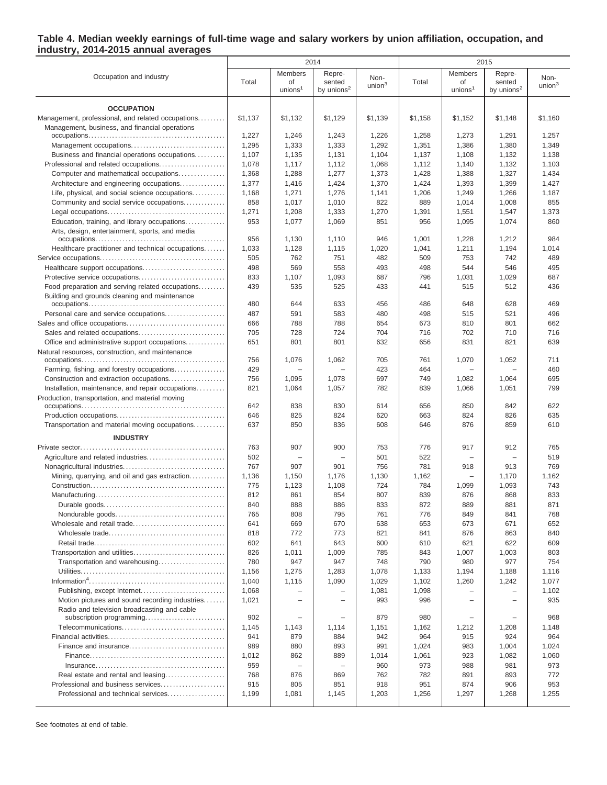#### **Table 4. Median weekly earnings of full-time wage and salary workers by union affiliation, occupation, and industry, 2014-2015 annual averages**

|                                                   |                |                                     | 2014                                       |                    |                |                                   | 2015                                       |                    |
|---------------------------------------------------|----------------|-------------------------------------|--------------------------------------------|--------------------|----------------|-----------------------------------|--------------------------------------------|--------------------|
| Occupation and industry                           | Total          | Members<br>of<br>union <sup>1</sup> | Repre-<br>sented<br>by unions <sup>2</sup> | Non-<br>union $^3$ | Total          | Members<br>of<br>unions $1$       | Repre-<br>sented<br>by unions <sup>2</sup> | Non-<br>union $^3$ |
| <b>OCCUPATION</b>                                 |                |                                     |                                            |                    |                |                                   |                                            |                    |
| Management, professional, and related occupations | \$1,137        | \$1.132                             | \$1.129                                    | \$1,139            | \$1,158        | \$1,152                           | \$1,148                                    | \$1,160            |
| Management, business, and financial operations    |                |                                     |                                            |                    |                |                                   |                                            |                    |
|                                                   | 1,227          | 1,246                               | 1,243                                      | 1,226              | 1,258          | 1,273                             | 1,291                                      | 1,257              |
|                                                   | 1,295          | 1,333                               | 1,333                                      | 1,292              | 1,351          | 1,386                             | 1,380                                      | 1,349              |
| Business and financial operations occupations     | 1,107          | 1,135                               | 1,131                                      | 1,104              | 1,137          | 1,108                             | 1,132                                      | 1,138              |
| Professional and related occupations              | 1,078          | 1,117                               | 1,112                                      | 1,068              | 1,112          | 1,140                             | 1,132                                      | 1,103              |
| Computer and mathematical occupations             | 1,368          | 1,288                               | 1,277                                      | 1,373              | 1,428          | 1,388                             | 1,327                                      | 1,434              |
| Architecture and engineering occupations          | 1,377          | 1,416                               | 1,424                                      | 1,370              | 1,424          | 1,393                             | 1,399                                      | 1,427              |
| Life, physical, and social science occupations    | 1,168          | 1,271                               | 1,276                                      | 1,141              | 1,206          | 1,249                             | 1,266                                      | 1,187              |
| Community and social service occupations          | 858            | 1,017                               | 1,010                                      | 822                | 889            | 1,014                             | 1,008                                      | 855                |
|                                                   | 1,271          | 1,208                               | 1,333                                      | 1,270              | 1,391          | 1,551                             | 1,547                                      | 1,373              |
| Education, training, and library occupations      | 953            | 1,077                               | 1,069                                      | 851                | 956            | 1,095                             | 1,074                                      | 860                |
| Arts, design, entertainment, sports, and media    | 956            | 1,130                               | 1,110                                      | 946                | 1,001          | 1,228                             | 1,212                                      | 984                |
| Healthcare practitioner and technical occupations | 1,033          | 1,128                               | 1,115                                      | 1,020              | 1,041          | 1,211                             | 1,194                                      | 1,014              |
|                                                   | 505            | 762                                 | 751                                        | 482                | 509            | 753                               | 742                                        | 489                |
| Healthcare support occupations                    | 498            | 569                                 | 558                                        | 493                | 498            | 544                               | 546                                        | 495                |
| Protective service occupations                    | 833            | 1,107                               | 1,093                                      | 687                | 796            | 1,031                             | 1,029                                      | 687                |
| Food preparation and serving related occupations  | 439            | 535                                 | 525                                        | 433                | 441            | 515                               | 512                                        | 436                |
| Building and grounds cleaning and maintenance     |                |                                     |                                            |                    |                |                                   |                                            |                    |
|                                                   | 480            | 644                                 | 633                                        | 456                | 486            | 648                               | 628                                        | 469                |
| Personal care and service occupations             | 487            | 591                                 | 583                                        | 480                | 498            | 515                               | 521                                        | 496                |
|                                                   | 666            | 788                                 | 788                                        | 654                | 673            | 810                               | 801                                        | 662                |
| Office and administrative support occupations     | 705<br>651     | 728<br>801                          | 724<br>801                                 | 704<br>632         | 716<br>656     | 702<br>831                        | 710<br>821                                 | 716<br>639         |
| Natural resources, construction, and maintenance  |                |                                     |                                            |                    |                |                                   |                                            |                    |
|                                                   | 756            | 1,076                               | 1,062                                      | 705                | 761            | 1,070                             | 1,052                                      | 711                |
| Farming, fishing, and forestry occupations        | 429            |                                     |                                            | 423                | 464            |                                   |                                            | 460                |
| Construction and extraction occupations           | 756            | 1,095                               | 1,078                                      | 697                | 749            | 1,082                             | 1,064                                      | 695                |
| Installation, maintenance, and repair occupations | 821            | 1,064                               | 1,057                                      | 782                | 839            | 1,066                             | 1,051                                      | 799                |
| Production, transportation, and material moving   | 642            | 838                                 | 830                                        | 614                | 656            | 850                               | 842                                        | 622                |
|                                                   | 646            | 825                                 | 824                                        | 620                | 663            | 824                               | 826                                        | 635                |
| Transportation and material moving occupations    | 637            | 850                                 | 836                                        | 608                | 646            | 876                               | 859                                        | 610                |
| <b>INDUSTRY</b>                                   | 763            | 907                                 | 900                                        | 753                | 776            | 917                               | 912                                        | 765                |
| Agriculture and related industries                | 502            |                                     | $\overline{\phantom{0}}$                   | 501                | 522            | $\overline{\phantom{0}}$          | $\overline{\phantom{0}}$                   | 519                |
|                                                   | 767            | 907                                 | 901                                        | 756                | 781            | 918                               | 913                                        | 769                |
| Mining, quarrying, and oil and gas extraction     | 1,136          | 1,150                               | 1,176                                      | 1,130              | 1,162          |                                   | 1,170                                      | 1,162              |
|                                                   | 775            | 1,123                               | 1,108                                      | 724                | 784            | 1,099                             | 1,093                                      | 743                |
|                                                   | 812            | 861                                 | 854                                        | 807                | 839            | 876                               | 868                                        | 833                |
|                                                   | 840            | 888                                 | 886                                        | 833                | 872            | 889                               | 881                                        | 871                |
|                                                   | 765            | 808                                 | 795                                        | 761                | 776            | 849                               | 841                                        | 768                |
| Wholesale and retail trade                        | 641            | 669                                 | 670                                        | 638                | 653            | 673                               | 671                                        | 652                |
|                                                   | 818            | 772                                 | 773                                        | 821                | 841            | 876                               | 863                                        | 840                |
|                                                   | 602            | 641                                 | 643                                        | 600                | 610            | 621                               | 622                                        | 609                |
| Transportation and utilities                      | 826            | 1,011                               | 1,009                                      | 785                | 843            | 1,007                             | 1,003                                      | 803                |
| Transportation and warehousing                    | 780            | 947                                 | 947                                        | 748                | 790            | 980                               | 977                                        | 754                |
|                                                   | 1,156          | 1,275                               | 1,283                                      | 1,078              | 1,133          | 1,194                             | 1,188                                      | 1,116              |
|                                                   | 1,040<br>1,068 | 1,115<br>$\overline{\phantom{0}}$   | 1,090<br>$\overline{\phantom{0}}$          | 1,029<br>1,081     | 1,102<br>1,098 | 1,260<br>$\overline{\phantom{0}}$ | 1,242<br>$\qquad \qquad -$                 | 1,077<br>1,102     |
| Motion pictures and sound recording industries    | 1,021          |                                     | $\overline{\phantom{0}}$                   | 993                | 996            |                                   | L.                                         | 935                |
| Radio and television broadcasting and cable       |                |                                     |                                            |                    |                |                                   |                                            |                    |
|                                                   | 902            | $\overline{\phantom{0}}$            | $\overline{\phantom{0}}$                   | 879                | 980            | $\overline{\phantom{0}}$          | $\overline{\phantom{0}}$                   | 968                |
|                                                   | 1,145          | 1,143                               | 1,114                                      | 1,151              | 1,162          | 1,212                             | 1,208                                      | 1,148              |
|                                                   | 941            | 879                                 | 884                                        | 942                | 964            | 915                               | 924                                        | 964                |
|                                                   | 989            | 880                                 | 893                                        | 991                | 1,024          | 983                               | 1,004                                      | 1,024              |
|                                                   | 1,012          | 862                                 | 889                                        | 1,014              | 1,061          | 923                               | 1,082                                      | 1,060              |
|                                                   | 959            | $\overline{\phantom{0}}$            | $\overline{\phantom{0}}$                   | 960                | 973            | 988                               | 981                                        | 973                |
| Real estate and rental and leasing                | 768            | 876                                 | 869                                        | 762                | 782            | 891                               | 893                                        | 772                |
| Professional and business services                | 915            | 805                                 | 851                                        | 918                | 951            | 874                               | 906                                        | 953                |
| Professional and technical services               | 1,199          | 1,081                               | 1,145                                      | 1,203              | 1,256          | 1,297                             | 1,268                                      | 1,255              |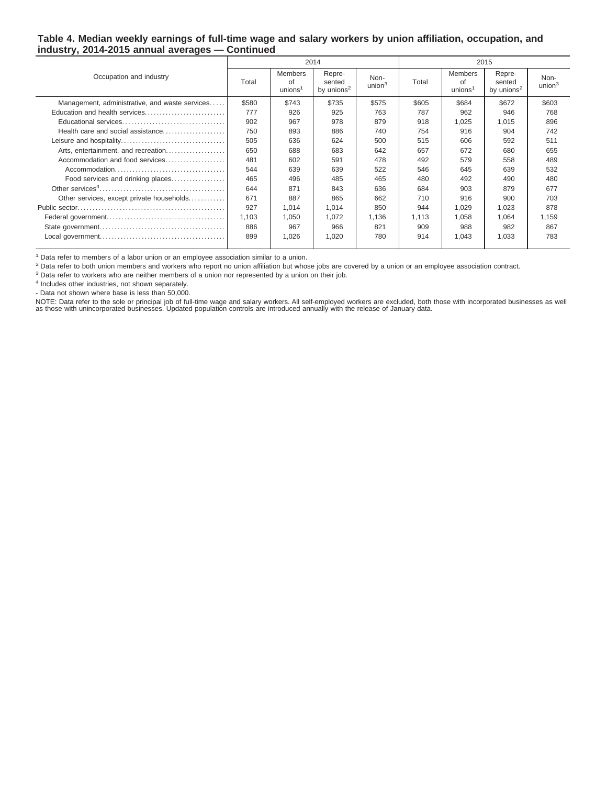#### **Table 4. Median weekly earnings of full-time wage and salary workers by union affiliation, occupation, and industry, 2014-2015 annual averages — Continued**

|                                                |       |                                             | 2014                                       |                            |       | 2015                                       |                                            |                            |  |
|------------------------------------------------|-------|---------------------------------------------|--------------------------------------------|----------------------------|-------|--------------------------------------------|--------------------------------------------|----------------------------|--|
| Occupation and industry                        | Total | <b>Members</b><br>of<br>unions <sup>1</sup> | Repre-<br>sented<br>by unions <sup>2</sup> | Non-<br>union <sup>3</sup> | Total | <b>Members</b><br>of<br>union <sup>1</sup> | Repre-<br>sented<br>by unions <sup>2</sup> | Non-<br>union <sup>3</sup> |  |
| Management, administrative, and waste services | \$580 | \$743                                       | \$735                                      | \$575                      | \$605 | \$684                                      | \$672                                      | \$603                      |  |
| Education and health services                  | 777   | 926                                         | 925                                        | 763                        | 787   | 962                                        | 946                                        | 768                        |  |
|                                                | 902   | 967                                         | 978                                        | 879                        | 918   | 1,025                                      | 1.015                                      | 896                        |  |
| Health care and social assistance              | 750   | 893                                         | 886                                        | 740                        | 754   | 916                                        | 904                                        | 742                        |  |
|                                                | 505   | 636                                         | 624                                        | 500                        | 515   | 606                                        | 592                                        | 511                        |  |
| Arts, entertainment, and recreation            | 650   | 688                                         | 683                                        | 642                        | 657   | 672                                        | 680                                        | 655                        |  |
| Accommodation and food services                | 481   | 602                                         | 591                                        | 478                        | 492   | 579                                        | 558                                        | 489                        |  |
|                                                | 544   | 639                                         | 639                                        | 522                        | 546   | 645                                        | 639                                        | 532                        |  |
| Food services and drinking places              | 465   | 496                                         | 485                                        | 465                        | 480   | 492                                        | 490                                        | 480                        |  |
|                                                | 644   | 871                                         | 843                                        | 636                        | 684   | 903                                        | 879                                        | 677                        |  |
| Other services, except private households      | 671   | 887                                         | 865                                        | 662                        | 710   | 916                                        | 900                                        | 703                        |  |
|                                                | 927   | 1,014                                       | 1,014                                      | 850                        | 944   | 1,029                                      | 1,023                                      | 878                        |  |
|                                                | 1,103 | 1,050                                       | 1.072                                      | 1,136                      | 1.113 | 1,058                                      | 1,064                                      | 1,159                      |  |
|                                                | 886   | 967                                         | 966                                        | 821                        | 909   | 988                                        | 982                                        | 867                        |  |
|                                                | 899   | 1,026                                       | 1,020                                      | 780                        | 914   | 1.043                                      | 1.033                                      | 783                        |  |
|                                                |       |                                             |                                            |                            |       |                                            |                                            |                            |  |

 $1$  Data refer to members of a labor union or an employee association similar to a union.

<sup>2</sup> Data refer to both union members and workers who report no union affiliation but whose jobs are covered by a union or an employee association contract.

<sup>3</sup> Data refer to workers who are neither members of a union nor represented by a union on their job.

4 Includes other industries, not shown separately.

- Data not shown where base is less than 50,000.

NOTE: Data refer to the sole or principal job of full-time wage and salary workers. All self-employed workers are excluded, both those with incorporated businesses as well<br>as those with unincorporated businesses. Updated p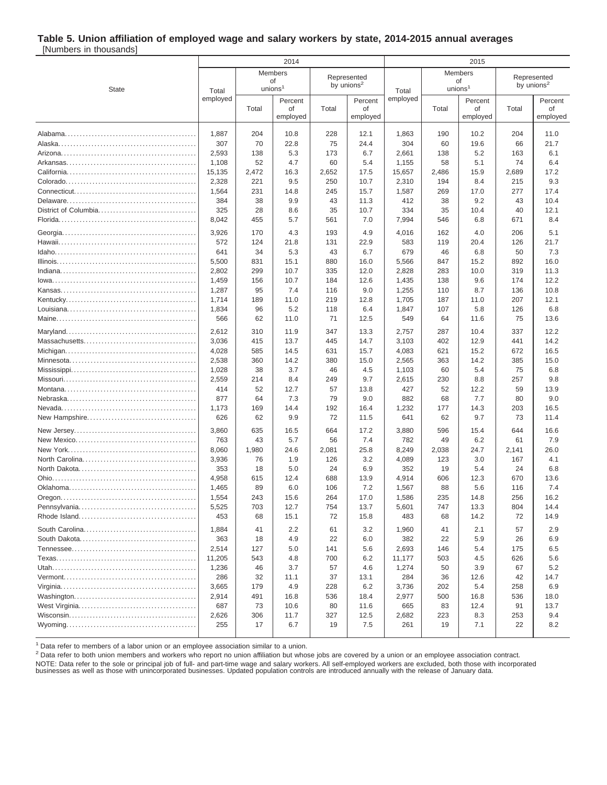# **Table 5. Union affiliation of employed wage and salary workers by state, 2014-2015 annual averages**

[Numbers in thousands]

|              |                        |       | 2014               |       |               |                        | 2015                |               |       |                        |
|--------------|------------------------|-------|--------------------|-------|---------------|------------------------|---------------------|---------------|-------|------------------------|
|              | Members<br>Represented |       |                    |       |               | Members<br>Represented |                     |               |       |                        |
|              |                        |       | of                 |       | by unions $2$ |                        |                     | of            |       | by unions <sup>2</sup> |
| <b>State</b> | Total<br>employed      |       | union <sup>1</sup> |       |               | Total<br>employed      | unions <sup>1</sup> |               |       |                        |
|              |                        | Total | Percent<br>οf      | Total | Percent<br>οf |                        | Total               | Percent<br>οf | Total | Percent<br>of          |
|              |                        |       | employed           |       | employed      |                        |                     | employed      |       | employed               |
|              |                        |       |                    |       |               |                        |                     |               |       |                        |
|              | 1,887                  | 204   | 10.8               | 228   | 12.1          | 1,863                  | 190                 | 10.2          | 204   | 11.0                   |
|              | 307                    | 70    | 22.8               | 75    | 24.4          | 304                    | 60                  | 19.6          | 66    | 21.7                   |
|              | 2,593                  | 138   | 5.3                | 173   | 6.7           | 2,661                  | 138                 | 5.2           | 163   | 6.1                    |
|              | 1,108                  | 52    | 4.7                | 60    | 5.4           | 1,155                  | 58                  | 5.1           | 74    | 6.4                    |
|              | 15,135                 | 2,472 | 16.3               | 2,652 | 17.5          | 15,657                 | 2,486               | 15.9          | 2,689 | 17.2                   |
|              | 2,328                  | 221   | 9.5                | 250   | 10.7          | 2,310                  | 194                 | 8.4           | 215   | 9.3                    |
|              | 1,564                  | 231   | 14.8               | 245   | 15.7          | 1,587                  | 269                 | 17.0          | 277   | 17.4                   |
|              | 384                    | 38    | 9.9                | 43    | 11.3          | 412                    | 38                  | 9.2           | 43    | 10.4                   |
|              | 325                    | 28    | 8.6                | 35    | 10.7          | 334                    | 35                  | 10.4          | 40    | 12.1                   |
|              | 8,042                  | 455   | 5.7                | 561   | 7.0           | 7,994                  | 546                 | 6.8           | 671   | 8.4                    |
|              | 3,926                  | 170   | 4.3                | 193   | 4.9           | 4,016                  | 162                 | 4.0           | 206   | 5.1                    |
|              | 572                    | 124   | 21.8               | 131   | 22.9          | 583                    | 119                 | 20.4          | 126   | 21.7                   |
|              | 641                    | 34    | 5.3                | 43    | 6.7           | 679                    | 46                  | 6.8           | 50    | 7.3                    |
|              | 5,500                  | 831   | 15.1               | 880   | 16.0          | 5,566                  | 847                 | 15.2          | 892   | 16.0                   |
|              | 2,802                  | 299   | 10.7               | 335   | 12.0          | 2,828                  | 283                 | 10.0          | 319   | 11.3                   |
|              | 1,459                  | 156   | 10.7               | 184   | 12.6          | 1,435                  | 138                 | 9.6           | 174   | 12.2                   |
|              | 1,287                  | 95    | 7.4                | 116   | 9.0           | 1,255                  | 110                 | 8.7           | 136   | 10.8                   |
|              | 1,714                  | 189   | 11.0               | 219   | 12.8          | 1,705                  | 187                 | 11.0          | 207   | 12.1                   |
|              | 1,834                  | 96    | 5.2                | 118   | 6.4           | 1,847                  | 107                 | 5.8           | 126   | 6.8                    |
|              | 566                    | 62    | 11.0               | 71    | 12.5          | 549                    | 64                  | 11.6          | 75    | 13.6                   |
|              | 2,612                  | 310   | 11.9               | 347   | 13.3          | 2,757                  | 287                 | 10.4          | 337   | 12.2                   |
|              | 3,036                  | 415   | 13.7               | 445   | 14.7          | 3,103                  | 402                 | 12.9          | 441   | 14.2                   |
|              | 4,028                  | 585   | 14.5               | 631   | 15.7          | 4,083                  | 621                 | 15.2          | 672   | 16.5                   |
|              | 2,538                  | 360   | 14.2               | 380   | 15.0          | 2,565                  | 363                 | 14.2          | 385   | 15.0                   |
|              | 1,028                  | 38    | 3.7                | 46    | 4.5           | 1,103                  | 60                  | 5.4           | 75    | 6.8                    |
|              | 2,559                  | 214   | 8.4                | 249   | 9.7           | 2,615                  | 230                 | 8.8           | 257   | 9.8                    |
|              | 414                    | 52    | 12.7               | 57    | 13.8          | 427                    | 52                  | 12.2          | 59    | 13.9                   |
|              | 877                    | 64    | 7.3                | 79    | 9.0           | 882                    | 68                  | 7.7           | 80    | 9.0                    |
|              | 1,173                  | 169   | 14.4               | 192   | 16.4          | 1,232                  | 177                 | 14.3          | 203   | 16.5                   |
|              | 626                    | 62    | 9.9                | 72    | 11.5          | 641                    | 62                  | 9.7           | 73    | 11.4                   |
|              | 3,860                  | 635   | 16.5               | 664   | 17.2          | 3,880                  | 596                 | 15.4          | 644   | 16.6                   |
|              | 763                    | 43    | 5.7                | 56    | 7.4           | 782                    | 49                  | 6.2           | 61    | 7.9                    |
|              | 8,060                  | 1,980 | 24.6               | 2,081 | 25.8          | 8,249                  | 2,038               | 24.7          | 2,141 | 26.0                   |
|              | 3,936                  | 76    | 1.9                | 126   | 3.2           | 4,089                  | 123                 | 3.0           | 167   | 4.1                    |
|              | 353                    | 18    | 5.0                | 24    | 6.9           | 352                    | 19                  | 5.4           | 24    | 6.8                    |
|              | 4,958                  | 615   | 12.4               | 688   | 13.9          | 4,914                  | 606                 | 12.3          | 670   | 13.6                   |
|              | 1,465                  | 89    | 6.0                | 106   | 7.2           | 1,567                  | 88                  | 5.6           | 116   | 7.4                    |
|              | 1,554                  | 243   | 15.6               | 264   | 17.0          | 1,586                  | 235                 | 14.8          | 256   | 16.2                   |
|              | 5,525                  | 703   | 12.7               | 754   | 13.7          | 5,601                  | 747                 | 13.3          | 804   | 14.4                   |
|              | 453                    | 68    | 15.1               | 72    | 15.8          | 483                    | 68                  | 14.2          | 72    | 14.9                   |
|              | 1,884                  | 41    | 2.2                | 61    | 3.2           | 1,960                  | 41                  | 2.1           | 57    | 2.9                    |
|              | 363                    | 18    | 4.9                | 22    | 6.0           | 382                    | 22                  | 5.9           | 26    | 6.9                    |
|              | 2,514                  | 127   | 5.0                | 141   | 5.6           | 2,693                  | 146                 | 5.4           | 175   | 6.5                    |
|              | 11,205                 | 543   | 4.8                | 700   | 6.2           | 11,177                 | 503                 | 4.5           | 626   | 5.6                    |
|              | 1,236                  | 46    | 3.7                | 57    | 4.6           | 1,274                  | 50                  | 3.9           | 67    | 5.2                    |
|              | 286                    | 32    | 11.1               | 37    | 13.1          | 284                    | 36                  | 12.6          | 42    | 14.7                   |
|              | 3,665                  | 179   | 4.9                | 228   | 6.2           | 3,736                  | 202                 | 5.4           | 258   | 6.9                    |
|              | 2,914                  | 491   | 16.8               | 536   | 18.4          | 2,977                  | 500                 | 16.8          | 536   | 18.0                   |
|              | 687                    | 73    | 10.6               | 80    | 11.6          | 665                    | 83                  | 12.4          | 91    | 13.7                   |
|              | 2,626                  | 306   | 11.7               | 327   | 12.5          | 2,682                  | 223                 | 8.3           | 253   | 9.4                    |
|              | 255                    | 17    | 6.7                | 19    | 7.5           | 261                    | 19                  | 7.1           | 22    | 8.2                    |
|              |                        |       |                    |       |               |                        |                     |               |       |                        |

<sup>1</sup> Data refer to members of a labor union or an employee association similar to a union.

<sup>2</sup> Data refer to both union members and workers who report no union affiliation but whose jobs are covered by a union or an employee association contract.

NOTE: Data refer to the sole or principal job of full- and part-time wage and salary workers. All self-employed workers are excluded, both those with incorporated businesses as well as those with unincorporated businesses. Updated population controls are introduced annually with the release of January data.